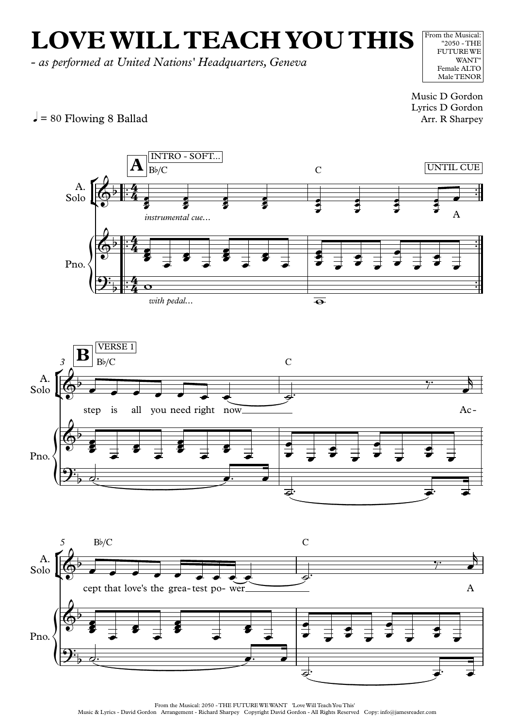## **LOVEWILL TEACH YOU THIS**

*- as performed at United Nations' Headquarters, Geneva*

From the Musical: "2050 - THE FUTUREWE WANT" Female ALTO Male TENOR

Music D Gordon Lyrics D Gordon Arr. R Sharpey





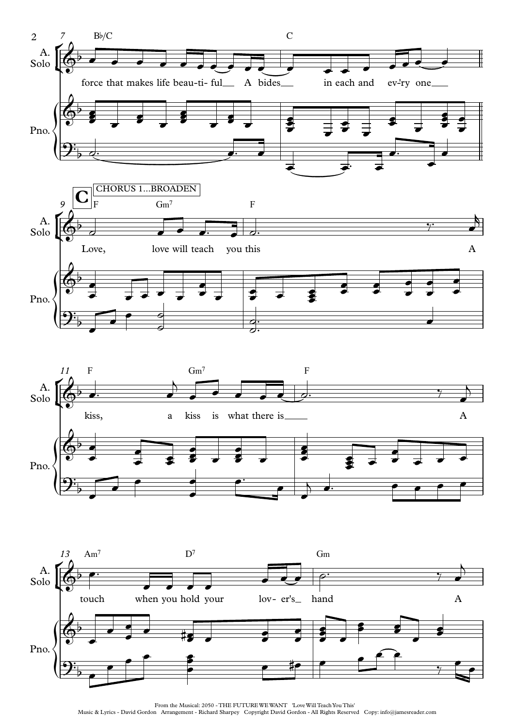





From the Musical: 2050 - THE FUTURE WE WANT 'Love Will Teach You This' Music & Lyrics - David Gordon Arrangement - Richard Sharpey Copyright David Gordon - All Rights Reserved Copy: info@jamesreader.com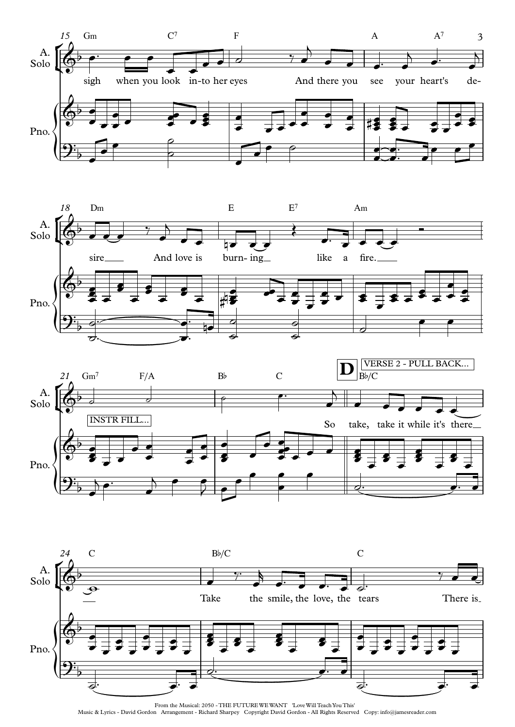







From the Musical: 2050 - THE FUTUREWEWANT 'LoveWill TeachYou This' Music & Lyrics - David Gordon Arrangement - Richard Sharpey Copyright David Gordon - All Rights Reserved Copy: info@jamesreader.com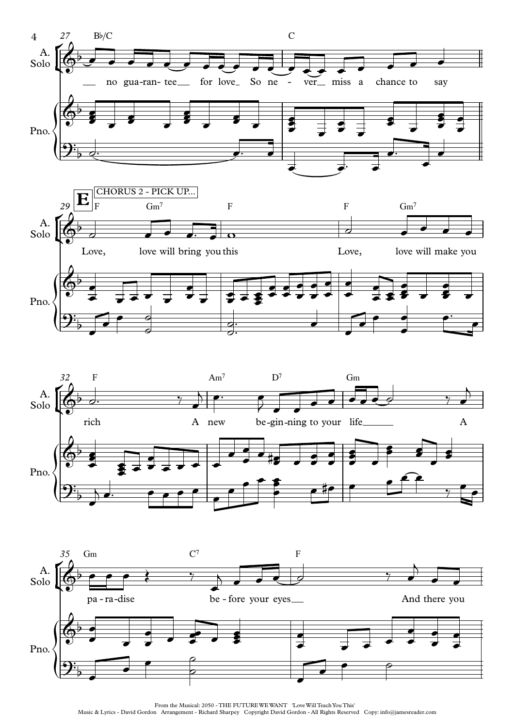





From the Musical: 2050 - THE FUTURE WE WANT 'Love Will Teach You This'

Music & Lyrics - David Gordon Arrangement - Richard Sharpey Copyright David Gordon - All Rights Reserved Copy: info@jamesreader.com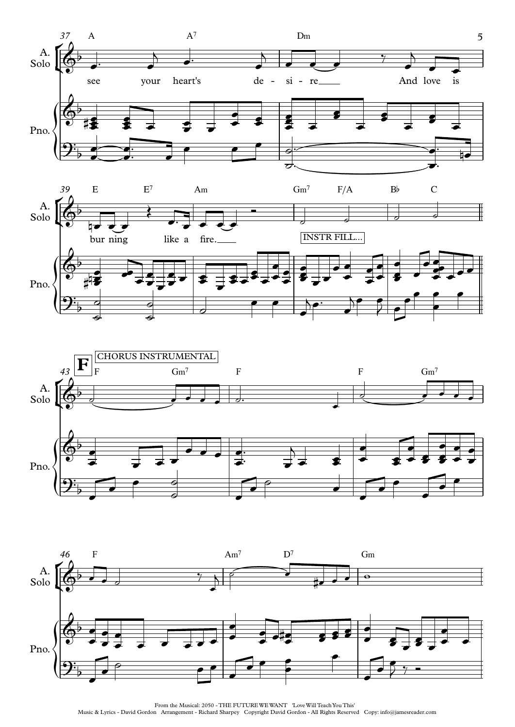







From the Musical: 2050 - THE FUTURE WE WANT 'Love Will Teach You This' Music & Lyrics - David Gordon Arrangement - Richard Sharpey Copyright David Gordon - All Rights Reserved Copy: info@jamesreader.com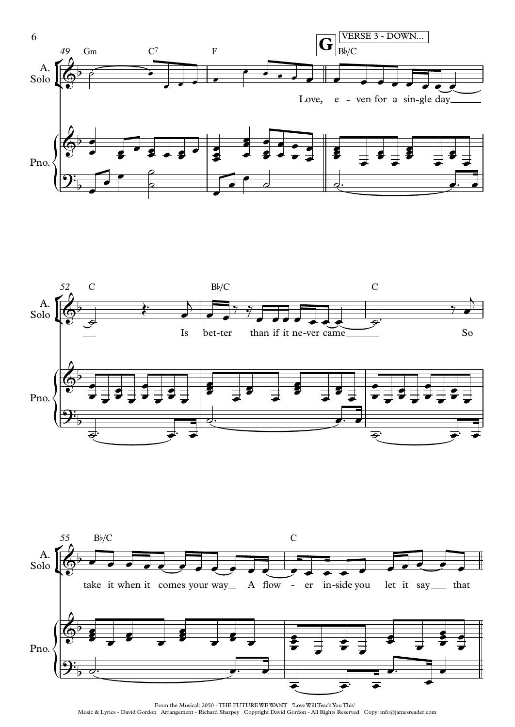





From the Musical: 2050 - THE FUTURE WE WANT 'Love Will Teach You This' Music & Lyrics - David Gordon Arrangement - Richard Sharpey Copyright David Gordon - All Rights Reserved Copy: info@jamesreader.com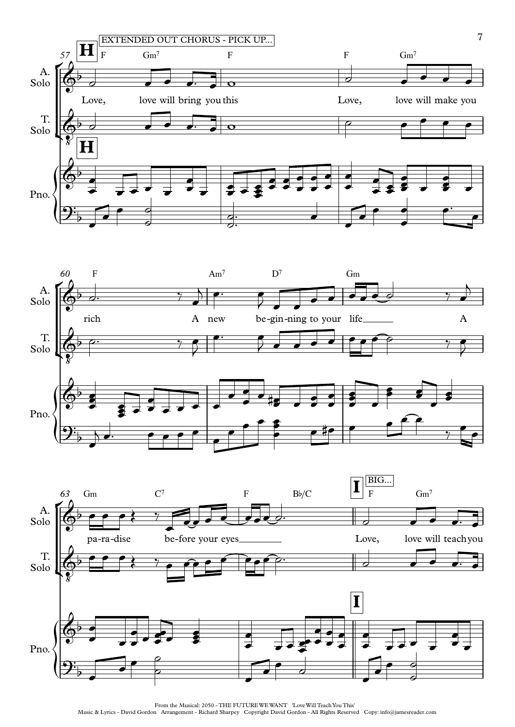





From the Musical: 2050 - THE FUTURE WE WANT 'Love Will Teach You This' Music & Lyrics - David Gordon Arrangement - Richard Sharpey Copyright David Gordon - All Rights Reserved Copy: info@jamesreader.com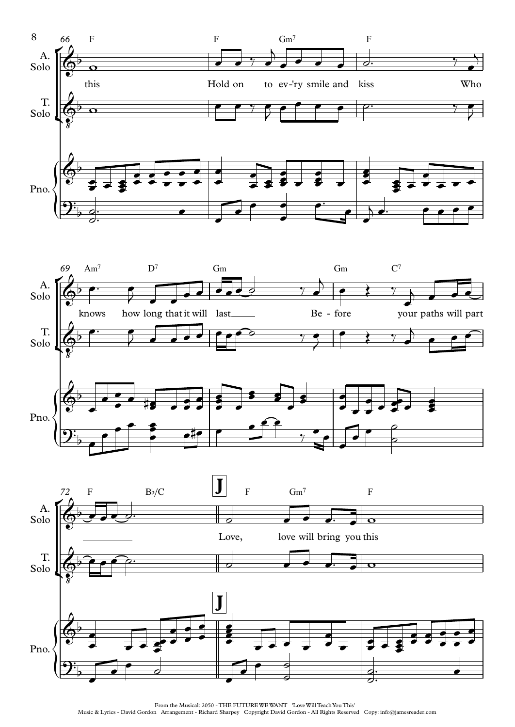